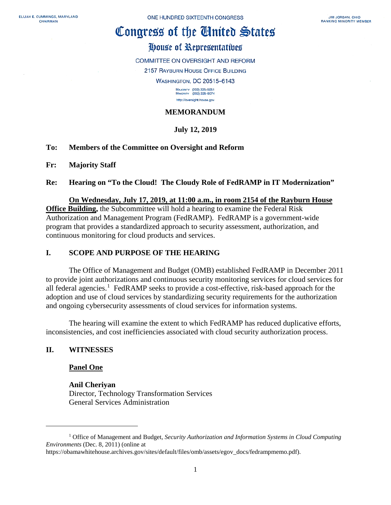# Congress of the Ginited States

# House of Representatives

COMMITTEE ON OVERSIGHT AND REFORM

2157 RAYBURN HOUSE OFFICE BUILDING

**WASHINGTON, DC 20515-6143** 

MAJORITY (202) 225-5051<br>MINORITY (202) 225-5074 http://oversight.house.gov

# **MEMORANDUM**

# **July 12, 2019**

## **To: Members of the Committee on Oversight and Reform**

## **Fr: Majority Staff**

## **Re: Hearing on "To the Cloud! The Cloudy Role of FedRAMP in IT Modernization"**

#### **On Wednesday, July 17, 2019, at 11:00 a.m., in room 2154 of the Rayburn House**

**Office Building,** the Subcommittee will hold a hearing to examine the Federal Risk Authorization and Management Program (FedRAMP). FedRAMP is a government-wide program that provides a standardized approach to security assessment, authorization, and continuous monitoring for cloud products and services.

## **I. SCOPE AND PURPOSE OF THE HEARING**

The Office of Management and Budget (OMB) established FedRAMP in December 2011 to provide joint authorizations and continuous security monitoring services for cloud services for all federal agencies.<sup>[1](#page-0-0)</sup> FedRAMP seeks to provide a cost-effective, risk-based approach for the adoption and use of cloud services by standardizing security requirements for the authorization and ongoing cybersecurity assessments of cloud services for information systems.

The hearing will examine the extent to which FedRAMP has reduced duplicative efforts, inconsistencies, and cost inefficiencies associated with cloud security authorization process.

## **II. WITNESSES**

l

## **Panel One**

#### **Anil Cheriyan**

Director, Technology Transformation Services General Services Administration

https://obamawhitehouse.archives.gov/sites/default/files/omb/assets/egov\_docs/fedrampmemo.pdf).

<span id="page-0-0"></span><sup>1</sup> Office of Management and Budget, *Security Authorization and Information Systems in Cloud Computing Environments* (Dec. 8, 2011) (online at